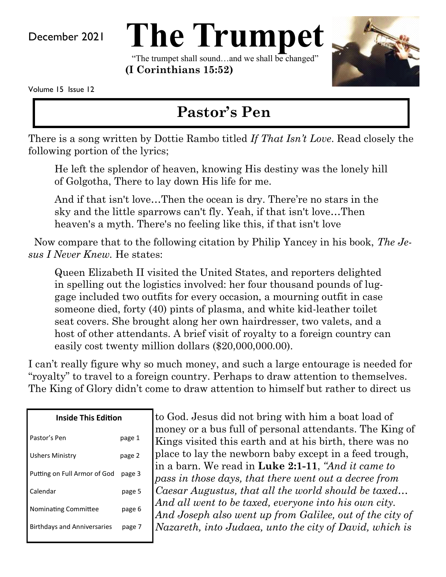December 2021

# **The Trumpet**

"The trumpet shall sound...and we shall be changed" **(I Corinthians 15:52)** 



Volume 15 Issue 12

# **Pastor's Pen**

There is a song written by Dottie Rambo titled *If That Isn't Love*. Read closely the following portion of the lyrics;

He left the splendor of heaven, knowing His destiny was the lonely hill of Golgotha, There to lay down His life for me.

And if that isn't love…Then the ocean is dry. There're no stars in the sky and the little sparrows can't fly. Yeah, if that isn't love…Then heaven's a myth. There's no feeling like this, if that isn't love

 Now compare that to the following citation by Philip Yancey in his book, *The Jesus I Never Knew.* He states:

Queen Elizabeth II visited the United States, and reporters delighted in spelling out the logistics involved: her four thousand pounds of luggage included two outfits for every occasion, a mourning outfit in case someone died, forty (40) pints of plasma, and white kid-leather toilet seat covers. She brought along her own hairdresser, two valets, and a host of other attendants. A brief visit of royalty to a foreign country can easily cost twenty million dollars (\$20,000,000.00).

I can't really figure why so much money, and such a large entourage is needed for "royalty" to travel to a foreign country. Perhaps to draw attention to themselves. The King of Glory didn't come to draw attention to himself but rather to direct us

| Inside This Edition                |        |
|------------------------------------|--------|
| Pastor's Pen                       | page 1 |
| <b>Ushers Ministry</b>             | page 2 |
| Putting on Full Armor of God       | page 3 |
| Calendar                           | page 5 |
| Nominating Committee               | page 6 |
| <b>Birthdays and Anniversaries</b> | page / |
|                                    |        |

to God. Jesus did not bring with him a boat load of money or a bus full of personal attendants. The King of Kings visited this earth and at his birth, there was no place to lay the newborn baby except in a feed trough, in a barn. We read in **Luke 2:1-11**, *"And it came to pass in those days, that there went out a decree from Caesar Augustus, that all the world should be taxed… And all went to be taxed, everyone into his own city.*  And Joseph also went up from Galilee, out of the city of *Nazareth, into Judaea, unto the city of David, which is*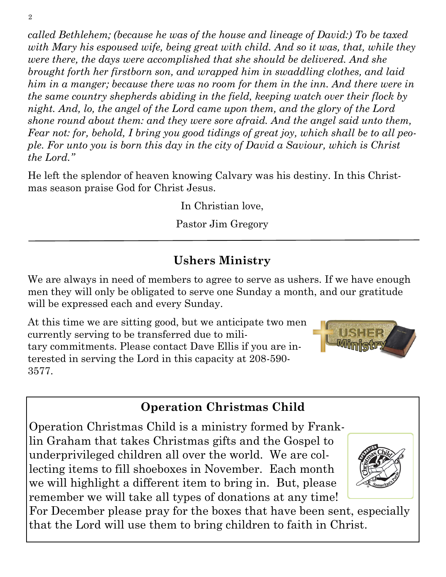*called Bethlehem; (because he was of the house and lineage of David:) To be taxed*  with Mary his espoused wife, being great with child. And so it was, that, while they *were there, the days were accomplished that she should be delivered. And she brought forth her firstborn son, and wrapped him in swaddling clothes, and laid him in a manger; because there was no room for them in the inn. And there were in the same country shepherds abiding in the field, keeping watch over their flock by night. And, lo, the angel of the Lord came upon them, and the glory of the Lord shone round about them: and they were sore afraid. And the angel said unto them, Fear not: for, behold, I bring you good tidings of great joy, which shall be to all people. For unto you is born this day in the city of David a Saviour, which is Christ the Lord."*

He left the splendor of heaven knowing Calvary was his destiny. In this Christmas season praise God for Christ Jesus.

In Christian love,

Pastor Jim Gregory

# **Ushers Ministry**

We are always in need of members to agree to serve as ushers. If we have enough men they will only be obligated to serve one Sunday a month, and our gratitude will be expressed each and every Sunday.

At this time we are sitting good, but we anticipate two men currently serving to be transferred due to military commitments. Please contact Dave Ellis if you are interested in serving the Lord in this capacity at 208-590- 3577.

## **Operation Christmas Child**

Operation Christmas Child is a ministry formed by Franklin Graham that takes Christmas gifts and the Gospel to underprivileged children all over the world. We are collecting items to fill shoeboxes in November. Each month we will highlight a different item to bring in. But, please remember we will take all types of donations at any time!



For December please pray for the boxes that have been sent, especially that the Lord will use them to bring children to faith in Christ.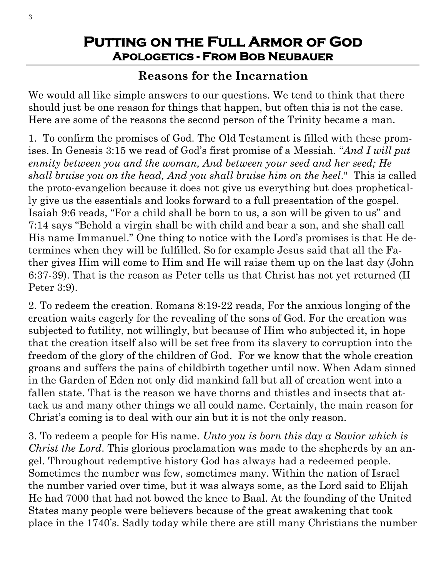#### **Putting on the Full Armor of God Apologetics - From Bob Neubauer**

#### **Reasons for the Incarnation**

We would all like simple answers to our questions. We tend to think that there should just be one reason for things that happen, but often this is not the case. Here are some of the reasons the second person of the Trinity became a man.

1. To confirm the promises of God. The Old Testament is filled with these promises. In Genesis 3:15 we read of God's first promise of a Messiah. "*And I will put enmity between you and the woman, And between your seed and her seed; He shall bruise you on the head, And you shall bruise him on the heel*." This is called the proto-evangelion because it does not give us everything but does prophetically give us the essentials and looks forward to a full presentation of the gospel. Isaiah 9:6 reads, "For a child shall be born to us, a son will be given to us" and 7:14 says "Behold a virgin shall be with child and bear a son, and she shall call His name Immanuel." One thing to notice with the Lord's promises is that He determines when they will be fulfilled. So for example Jesus said that all the Father gives Him will come to Him and He will raise them up on the last day (John 6:37-39). That is the reason as Peter tells us that Christ has not yet returned (II Peter 3:9).

2. To redeem the creation. Romans 8:19-22 reads, For the anxious longing of the creation waits eagerly for the revealing of the sons of God. For the creation was subjected to futility, not willingly, but because of Him who subjected it, in hope that the creation itself also will be set free from its slavery to corruption into the freedom of the glory of the children of God. For we know that the whole creation groans and suffers the pains of childbirth together until now. When Adam sinned in the Garden of Eden not only did mankind fall but all of creation went into a fallen state. That is the reason we have thorns and thistles and insects that attack us and many other things we all could name. Certainly, the main reason for Christ's coming is to deal with our sin but it is not the only reason.

3. To redeem a people for His name. *Unto you is born this day a Savior which is Christ the Lord*. This glorious proclamation was made to the shepherds by an angel. Throughout redemptive history God has always had a redeemed people. Sometimes the number was few, sometimes many. Within the nation of Israel the number varied over time, but it was always some, as the Lord said to Elijah He had 7000 that had not bowed the knee to Baal. At the founding of the United States many people were believers because of the great awakening that took place in the 1740's. Sadly today while there are still many Christians the number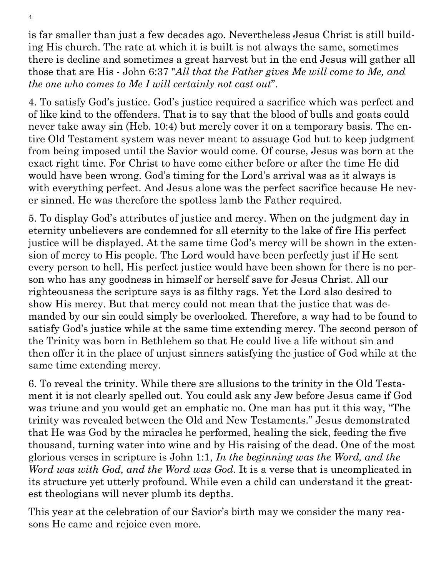is far smaller than just a few decades ago. Nevertheless Jesus Christ is still building His church. The rate at which it is built is not always the same, sometimes there is decline and sometimes a great harvest but in the end Jesus will gather all those that are His - John 6:37 "*All that the Father gives Me will come to Me, and the one who comes to Me I will certainly not cast out*".

4. To satisfy God's justice. God's justice required a sacrifice which was perfect and of like kind to the offenders. That is to say that the blood of bulls and goats could never take away sin (Heb. 10:4) but merely cover it on a temporary basis. The entire Old Testament system was never meant to assuage God but to keep judgment from being imposed until the Savior would come. Of course, Jesus was born at the exact right time. For Christ to have come either before or after the time He did would have been wrong. God's timing for the Lord's arrival was as it always is with everything perfect. And Jesus alone was the perfect sacrifice because He never sinned. He was therefore the spotless lamb the Father required.

5. To display God's attributes of justice and mercy. When on the judgment day in eternity unbelievers are condemned for all eternity to the lake of fire His perfect justice will be displayed. At the same time God's mercy will be shown in the extension of mercy to His people. The Lord would have been perfectly just if He sent every person to hell, His perfect justice would have been shown for there is no person who has any goodness in himself or herself save for Jesus Christ. All our righteousness the scripture says is as filthy rags. Yet the Lord also desired to show His mercy. But that mercy could not mean that the justice that was demanded by our sin could simply be overlooked. Therefore, a way had to be found to satisfy God's justice while at the same time extending mercy. The second person of the Trinity was born in Bethlehem so that He could live a life without sin and then offer it in the place of unjust sinners satisfying the justice of God while at the same time extending mercy.

6. To reveal the trinity. While there are allusions to the trinity in the Old Testament it is not clearly spelled out. You could ask any Jew before Jesus came if God was triune and you would get an emphatic no. One man has put it this way, "The trinity was revealed between the Old and New Testaments." Jesus demonstrated that He was God by the miracles he performed, healing the sick, feeding the five thousand, turning water into wine and by His raising of the dead. One of the most glorious verses in scripture is John 1:1, *In the beginning was the Word, and the Word was with God, and the Word was God*. It is a verse that is uncomplicated in its structure yet utterly profound. While even a child can understand it the greatest theologians will never plumb its depths.

This year at the celebration of our Savior's birth may we consider the many reasons He came and rejoice even more.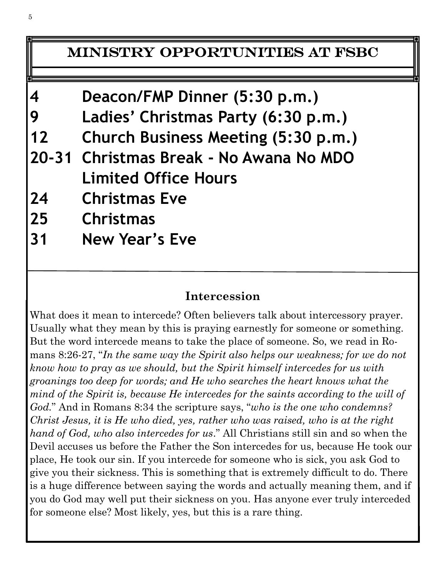# Ministry Opportunities at FSBC

- **4 Deacon/FMP Dinner (5:30 p.m.)**
- **9 Ladies' Christmas Party (6:30 p.m.)**
- **12 Church Business Meeting (5:30 p.m.)**
- **20-31 Christmas Break - No Awana No MDO Limited Office Hours**
- **24 Christmas Eve**
- **25 Christmas**
- **31 New Year's Eve**

#### **Intercession**

What does it mean to intercede? Often believers talk about intercessory prayer. Usually what they mean by this is praying earnestly for someone or something. But the word intercede means to take the place of someone. So, we read in Romans 8:26-27, "*In the same way the Spirit also helps our weakness; for we do not know how to pray as we should, but the Spirit himself intercedes for us with groanings too deep for words; and He who searches the heart knows what the mind of the Spirit is, because He intercedes for the saints according to the will of God.*" And in Romans 8:34 the scripture says, "*who is the one who condemns? Christ Jesus, it is He who died, yes, rather who was raised, who is at the right hand of God, who also intercedes for us*." All Christians still sin and so when the Devil accuses us before the Father the Son intercedes for us, because He took our place, He took our sin. If you intercede for someone who is sick, you ask God to give you their sickness. This is something that is extremely difficult to do. There is a huge difference between saying the words and actually meaning them, and if you do God may well put their sickness on you. Has anyone ever truly interceded for someone else? Most likely, yes, but this is a rare thing.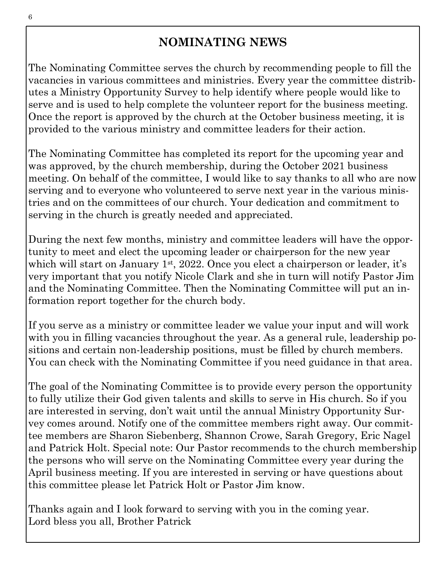## **NOMINATING NEWS**

The Nominating Committee serves the church by recommending people to fill the vacancies in various committees and ministries. Every year the committee distributes a Ministry Opportunity Survey to help identify where people would like to serve and is used to help complete the volunteer report for the business meeting. Once the report is approved by the church at the October business meeting, it is provided to the various ministry and committee leaders for their action.

The Nominating Committee has completed its report for the upcoming year and was approved, by the church membership, during the October 2021 business meeting. On behalf of the committee, I would like to say thanks to all who are now serving and to everyone who volunteered to serve next year in the various ministries and on the committees of our church. Your dedication and commitment to serving in the church is greatly needed and appreciated.

During the next few months, ministry and committee leaders will have the opportunity to meet and elect the upcoming leader or chairperson for the new year which will start on January 1<sup>st</sup>, 2022. Once you elect a chairperson or leader, it's very important that you notify Nicole Clark and she in turn will notify Pastor Jim and the Nominating Committee. Then the Nominating Committee will put an information report together for the church body.

If you serve as a ministry or committee leader we value your input and will work with you in filling vacancies throughout the year. As a general rule, leadership positions and certain non-leadership positions, must be filled by church members. You can check with the Nominating Committee if you need guidance in that area.

The goal of the Nominating Committee is to provide every person the opportunity to fully utilize their God given talents and skills to serve in His church. So if you are interested in serving, don't wait until the annual Ministry Opportunity Survey comes around. Notify one of the committee members right away. Our committee members are Sharon Siebenberg, Shannon Crowe, Sarah Gregory, Eric Nagel and Patrick Holt. Special note: Our Pastor recommends to the church membership the persons who will serve on the Nominating Committee every year during the April business meeting. If you are interested in serving or have questions about this committee please let Patrick Holt or Pastor Jim know.

Thanks again and I look forward to serving with you in the coming year. Lord bless you all, Brother Patrick